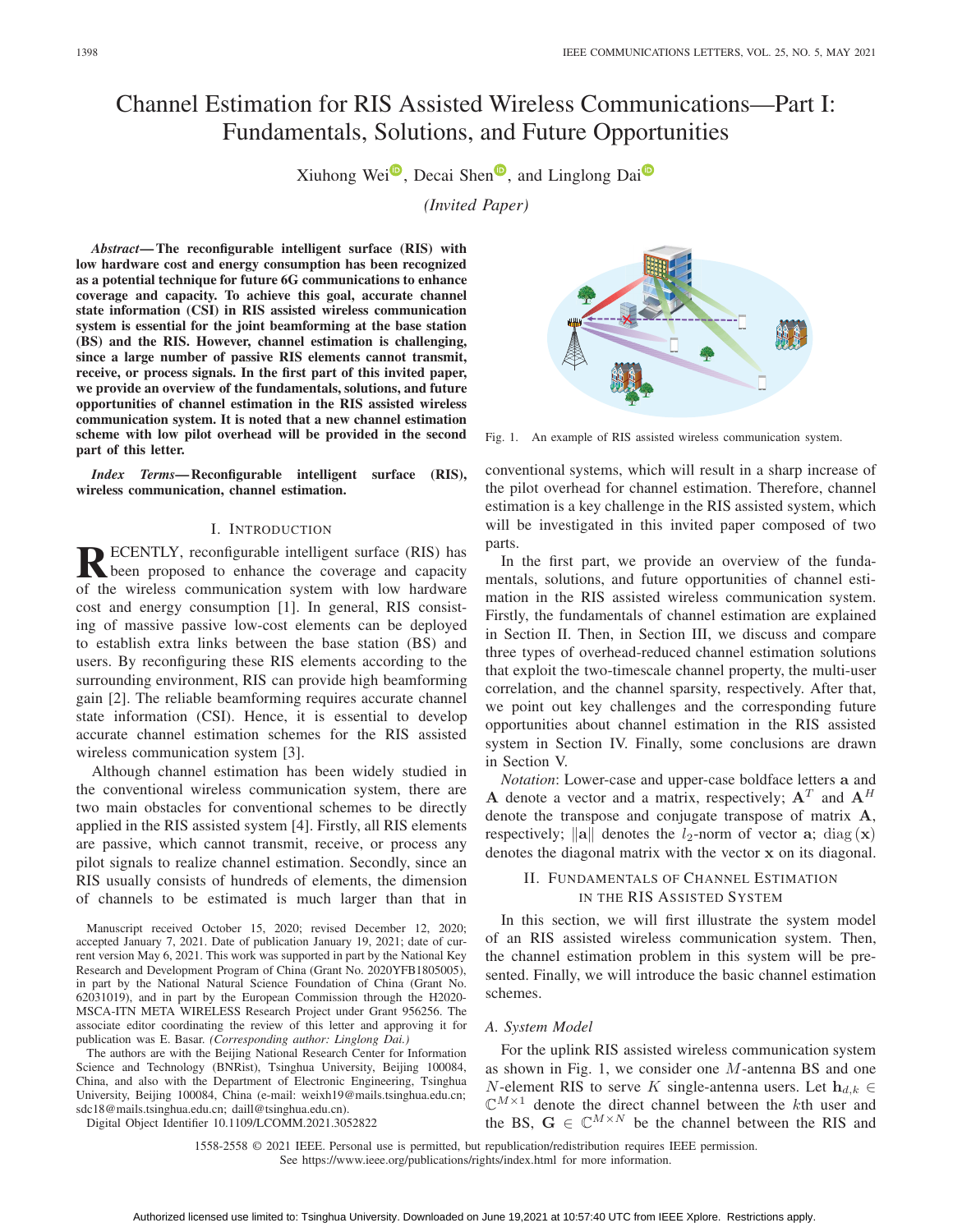# Channel Estimation for RIS Assisted Wireless Communications—Part I: Fundamentals, Solutions, and Future Opportunities

X[i](https://orcid.org/0000-0002-4250-7315)uho[n](https://orcid.org/0000-0002-3813-5096)g Wei $\overline{\bullet}$ , Decai Shen $\overline{\bullet}$ , and Linglong Dai $\overline{\bullet}$ 

*(Invited Paper)*

*Abstract***— The reconfigurable intelligent surface (RIS) with low hardware cost and energy consumption has been recognized as a potential technique for future 6G communications to enhance coverage and capacity. To achieve this goal, accurate channel state information (CSI) in RIS assisted wireless communication system is essential for the joint beamforming at the base station (BS) and the RIS. However, channel estimation is challenging, since a large number of passive RIS elements cannot transmit, receive, or process signals. In the first part of this invited paper, we provide an overview of the fundamentals, solutions, and future opportunities of channel estimation in the RIS assisted wireless communication system. It is noted that a new channel estimation scheme with low pilot overhead will be provided in the second part of this letter.**

*Index Terms***— Reconfigurable intelligent surface (RIS), wireless communication, channel estimation.**

## I. INTRODUCTION

**RECENTLY**, reconfigurable intelligent surface (RIS) has<br>been proposed to enhance the coverage and capacity of the wireless communication system with low hardware cost and energy consumption [1]. In general, RIS consisting of massive passive low-cost elements can be deployed to establish extra links between the base station (BS) and users. By reconfiguring these RIS elements according to the surrounding environment, RIS can provide high beamforming gain [2]. The reliable beamforming requires accurate channel state information (CSI). Hence, it is essential to develop accurate channel estimation schemes for the RIS assisted wireless communication system [3].

Although channel estimation has been widely studied in the conventional wireless communication system, there are two main obstacles for conventional schemes to be directly applied in the RIS assisted system [4]. Firstly, all RIS elements are passive, which cannot transmit, receive, or process any pilot signals to realize channel estimation. Secondly, since an RIS usually consists of hundreds of elements, the dimension of channels to be estimated is much larger than that in

Manuscript received October 15, 2020; revised December 12, 2020; accepted January 7, 2021. Date of publication January 19, 2021; date of current version May 6, 2021. This work was supported in part by the National Key Research and Development Program of China (Grant No. 2020YFB1805005), in part by the National Natural Science Foundation of China (Grant No. 62031019), and in part by the European Commission through the H2020- MSCA-ITN META WIRELESS Research Project under Grant 956256. The associate editor coordinating the review of this letter and approving it for publication was E. Basar. *(Corresponding author: Linglong Dai.)*

The authors are with the Beijing National Research Center for Information Science and Technology (BNRist), Tsinghua University, Beijing 100084, China, and also with the Department of Electronic Engineering, Tsinghua University, Beijing 100084, China (e-mail: weixh19@mails.tsinghua.edu.cn; sdc18@mails.tsinghua.edu.cn; daill@tsinghua.edu.cn).

Digital Object Identifier 10.1109/LCOMM.2021.3052822

Fig. 1. An example of RIS assisted wireless communication system.

conventional systems, which will result in a sharp increase of the pilot overhead for channel estimation. Therefore, channel estimation is a key challenge in the RIS assisted system, which will be investigated in this invited paper composed of two parts.

In the first part, we provide an overview of the fundamentals, solutions, and future opportunities of channel estimation in the RIS assisted wireless communication system. Firstly, the fundamentals of channel estimation are explained in Section II. Then, in Section III, we discuss and compare three types of overhead-reduced channel estimation solutions that exploit the two-timescale channel property, the multi-user correlation, and the channel sparsity, respectively. After that, we point out key challenges and the corresponding future opportunities about channel estimation in the RIS assisted system in Section IV. Finally, some conclusions are drawn in Section V.

*Notation*: Lower-case and upper-case boldface letters **a** and **A** denote a vector and a matrix, respectively;  $A<sup>T</sup>$  and  $A<sup>H</sup>$ denote the transpose and conjugate transpose of matrix **A**, respectively;  $\|\mathbf{a}\|$  denotes the  $l_2$ -norm of vector **a**; diag  $(\mathbf{x})$  denotes the diagonal matrix with the vector **x** on its diagonal denotes the diagonal matrix with the vector **x** on its diagonal.

## II. FUNDAMENTALS OF CHANNEL ESTIMATION IN THE RIS ASSISTED SYSTEM

In this section, we will first illustrate the system model of an RIS assisted wireless communication system. Then, the channel estimation problem in this system will be presented. Finally, we will introduce the basic channel estimation schemes.

# *A. System Model*

For the uplink RIS assisted wireless communication system as shown in Fig. 1, we consider one M-antenna BS and one N-element RIS to serve K single-antenna users. Let  $\mathbf{h}_{d,k}$  ∈  $\mathbb{C}^{M\times 1}$  denote the direct channel between the kth user and the BS,  $G \in \mathbb{C}^{M \times N}$  be the channel between the RIS and

1558-2558 © 2021 IEEE. Personal use is permitted, but republication/redistribution requires IEEE permission. See https://www.ieee.org/publications/rights/index.html for more information.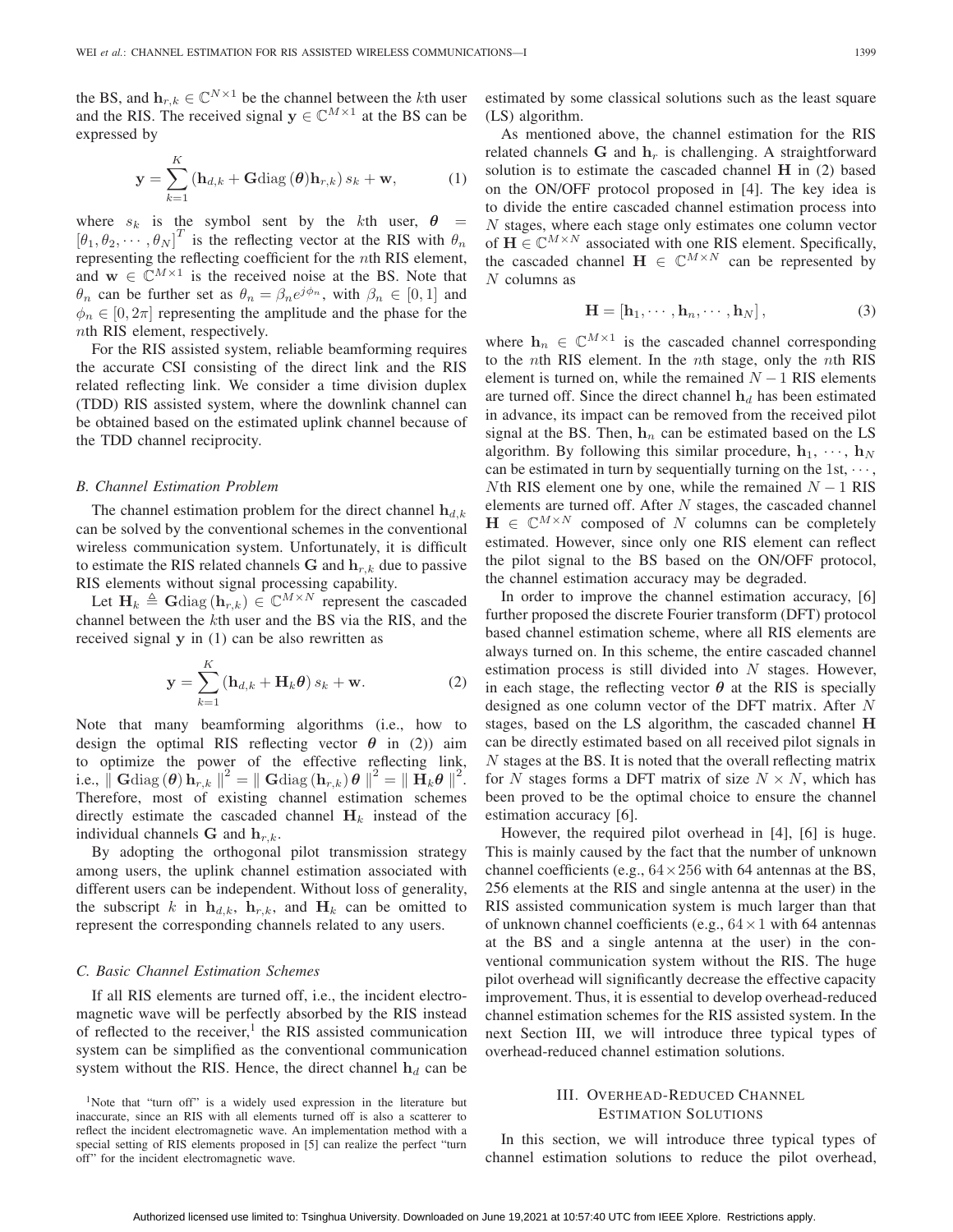the BS, and  $\mathbf{h}_{r,k} \in \mathbb{C}^{N \times 1}$  be the channel between the *k*th user and the RIS. The received signal  $y \in \mathbb{C}^{M \times 1}$  at the BS can be expressed by

$$
\mathbf{y} = \sum_{k=1}^{K} \left( \mathbf{h}_{d,k} + \mathbf{G} \text{diag} \left( \boldsymbol{\theta} \right) \mathbf{h}_{r,k} \right) s_k + \mathbf{w}, \tag{1}
$$

where  $s_k$  is the symbol sent by the kth user,  $\theta$  =  $[\theta_1, \theta_2, \cdots, \theta_N]^T$  is the reflecting vector at the RIS with  $\theta_n$ representing the reflecting coefficient for the nth RIS element, and  $\mathbf{w} \in \mathbb{C}^{M \times 1}$  is the received noise at the BS. Note that  $\theta_n$  can be further set as  $\theta_n = \beta_n e^{j\phi_n}$ , with  $\beta_n \in [0,1]$  and  $\phi_n \in [0, 2\pi]$  representing the amplitude and the phase for the nth RIS element, respectively.

For the RIS assisted system, reliable beamforming requires the accurate CSI consisting of the direct link and the RIS related reflecting link. We consider a time division duplex (TDD) RIS assisted system, where the downlink channel can be obtained based on the estimated uplink channel because of the TDD channel reciprocity.

## *B. Channel Estimation Problem*

The channel estimation problem for the direct channel  $\mathbf{h}_{d,k}$ can be solved by the conventional schemes in the conventional wireless communication system. Unfortunately, it is difficult to estimate the RIS related channels  $G$  and  $h_{r,k}$  due to passive RIS elements without signal processing capability.

Let  $\mathbf{H}_k \triangleq \mathbf{G}$ diag  $(\mathbf{h}_{r,k}) \in \mathbb{C}^{M \times N}$  represent the cascaded annel between the k<sup>th</sup> user and the BS via the BIS and the channel between the kth user and the BS via the RIS, and the received signal **y** in (1) can be also rewritten as

$$
\mathbf{y} = \sum_{k=1}^{K} \left( \mathbf{h}_{d,k} + \mathbf{H}_k \boldsymbol{\theta} \right) s_k + \mathbf{w}.
$$
 (2)

Note that many beamforming algorithms (i.e., how to design the optimal RIS reflecting vector  $\theta$  in (2)) aim to optimize the power of the effective reflecting link, i.e.,  $\|\mathbf{G}\text{diag}(\boldsymbol{\theta})\|_{r,k}^{2} \|^{2} = \|\mathbf{G}\text{diag}(\mathbf{h}_{r,k})\boldsymbol{\theta}\|^{2} = \|\mathbf{H}_{k}\boldsymbol{\theta}\|^{2}$ .<br>Therefore most of existing channel estimation schemes Therefore, most of existing channel estimation schemes directly estimate the cascaded channel  $H_k$  instead of the individual channels **G** and  $\mathbf{h}_{r,k}$ .

By adopting the orthogonal pilot transmission strategy among users, the uplink channel estimation associated with different users can be independent. Without loss of generality, the subscript k in  $h_{d,k}$ ,  $h_{r,k}$ , and  $H_k$  can be omitted to represent the corresponding channels related to any users.

#### *C. Basic Channel Estimation Schemes*

If all RIS elements are turned off, i.e., the incident electromagnetic wave will be perfectly absorbed by the RIS instead of reflected to the receiver, $\frac{1}{1}$  the RIS assisted communication system can be simplified as the conventional communication system without the RIS. Hence, the direct channel  $h_d$  can be estimated by some classical solutions such as the least square (LS) algorithm.

As mentioned above, the channel estimation for the RIS related channels  $G$  and  $h_r$  is challenging. A straightforward solution is to estimate the cascaded channel **H** in (2) based on the ON/OFF protocol proposed in [4]. The key idea is to divide the entire cascaded channel estimation process into N stages, where each stage only estimates one column vector of  $\mathbf{H} \in \mathbb{C}^{M \times N}$  associated with one RIS element. Specifically, the cascaded channel  $\mathbf{H} \in \mathbb{C}^{M \times N}$  can be represented by N columns as

$$
\mathbf{H} = [\mathbf{h}_1, \cdots, \mathbf{h}_n, \cdots, \mathbf{h}_N],
$$
 (3)

where  $h_n \in \mathbb{C}^{M \times 1}$  is the cascaded channel corresponding to the nth RIS element. In the nth stage, only the nth RIS element is turned on, while the remained  $N - 1$  RIS elements are turned off. Since the direct channel  $\mathbf{h}_d$  has been estimated in advance, its impact can be removed from the received pilot signal at the BS. Then,  $h_n$  can be estimated based on the LS algorithm. By following this similar procedure,  $\mathbf{h}_1, \dots, \mathbf{h}_N$ can be estimated in turn by sequentially turning on the  $1st, \dots,$ Nth RIS element one by one, while the remained  $N - 1$  RIS elements are turned off. After  $N$  stages, the cascaded channel  $\mathbf{H} \in \mathbb{C}^{M \times N}$  composed of N columns can be completely estimated. However, since only one RIS element can reflect the pilot signal to the BS based on the ON/OFF protocol, the channel estimation accuracy may be degraded.

In order to improve the channel estimation accuracy, [6] further proposed the discrete Fourier transform (DFT) protocol based channel estimation scheme, where all RIS elements are always turned on. In this scheme, the entire cascaded channel estimation process is still divided into  $N$  stages. However, in each stage, the reflecting vector  $\theta$  at the RIS is specially designed as one column vector of the DFT matrix. After N stages, based on the LS algorithm, the cascaded channel **H** can be directly estimated based on all received pilot signals in N stages at the BS. It is noted that the overall reflecting matrix for N stages forms a DFT matrix of size  $N \times N$ , which has been proved to be the optimal choice to ensure the channel estimation accuracy [6].

However, the required pilot overhead in [4], [6] is huge. This is mainly caused by the fact that the number of unknown channel coefficients (e.g.,  $64 \times 256$  with 64 antennas at the BS, 256 elements at the RIS and single antenna at the user) in the RIS assisted communication system is much larger than that of unknown channel coefficients (e.g.,  $64 \times 1$  with 64 antennas at the BS and a single antenna at the user) in the conventional communication system without the RIS. The huge pilot overhead will significantly decrease the effective capacity improvement. Thus, it is essential to develop overhead-reduced channel estimation schemes for the RIS assisted system. In the next Section III, we will introduce three typical types of overhead-reduced channel estimation solutions.

## III. OVERHEAD-REDUCED CHANNEL ESTIMATION SOLUTIONS

In this section, we will introduce three typical types of channel estimation solutions to reduce the pilot overhead,

<sup>&</sup>lt;sup>1</sup>Note that "turn off" is a widely used expression in the literature but inaccurate, since an RIS with all elements turned off is also a scatterer to reflect the incident electromagnetic wave. An implementation method with a special setting of RIS elements proposed in [5] can realize the perfect "turn off" for the incident electromagnetic wave.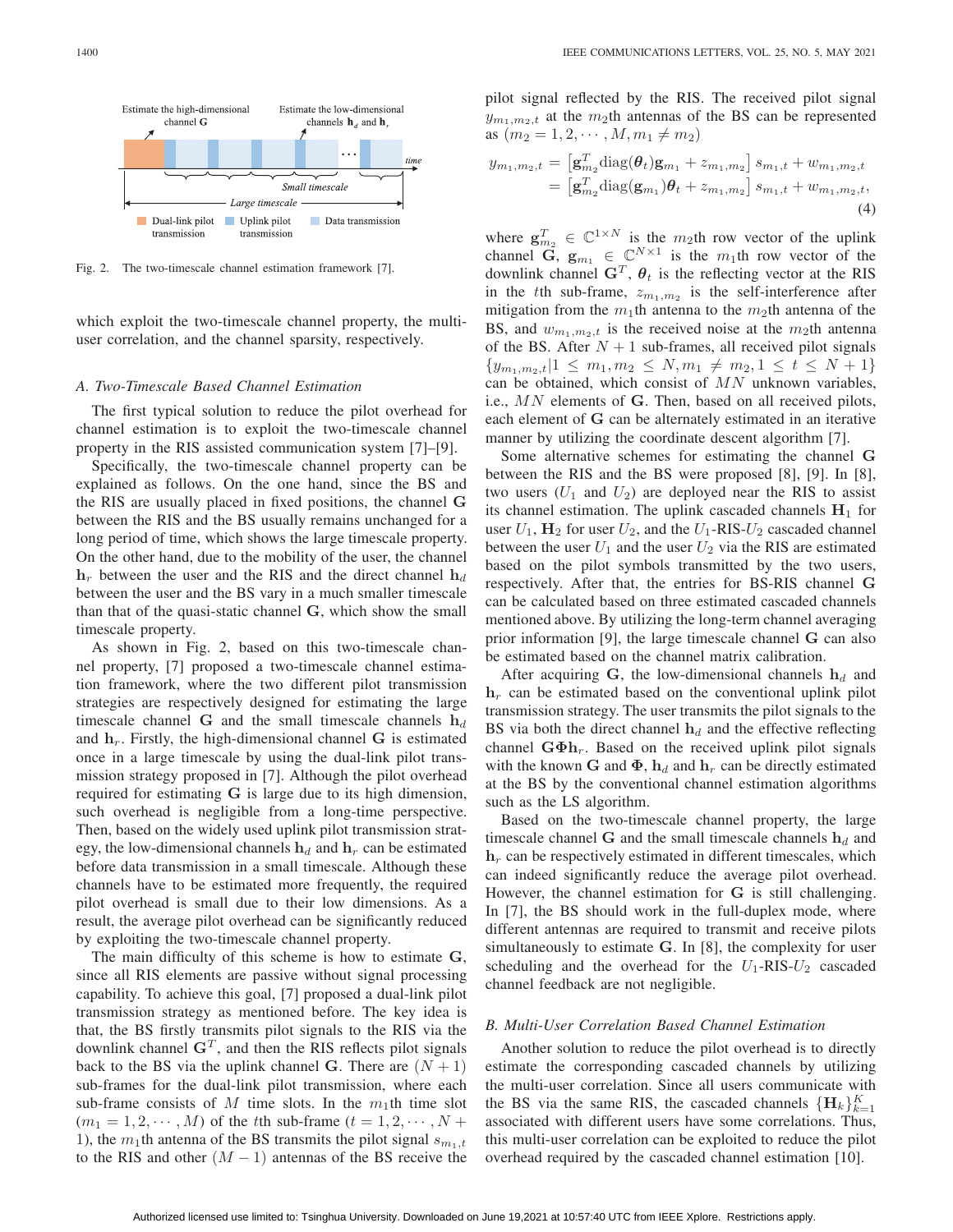

Fig. 2. The two-timescale channel estimation framework [7].

which exploit the two-timescale channel property, the multiuser correlation, and the channel sparsity, respectively.

## *A. Two-Timescale Based Channel Estimation*

The first typical solution to reduce the pilot overhead for channel estimation is to exploit the two-timescale channel property in the RIS assisted communication system [7]–[9].

Specifically, the two-timescale channel property can be explained as follows. On the one hand, since the BS and the RIS are usually placed in fixed positions, the channel **G** between the RIS and the BS usually remains unchanged for a long period of time, which shows the large timescale property. On the other hand, due to the mobility of the user, the channel  $h_r$  between the user and the RIS and the direct channel  $h_d$ between the user and the BS vary in a much smaller timescale than that of the quasi-static channel **G**, which show the small timescale property.

As shown in Fig. 2, based on this two-timescale channel property, [7] proposed a two-timescale channel estimation framework, where the two different pilot transmission strategies are respectively designed for estimating the large timescale channel **G** and the small timescale channels  $\mathbf{h}_d$ and **h**<sup>r</sup>. Firstly, the high-dimensional channel **G** is estimated once in a large timescale by using the dual-link pilot transmission strategy proposed in [7]. Although the pilot overhead required for estimating **G** is large due to its high dimension, such overhead is negligible from a long-time perspective. Then, based on the widely used uplink pilot transmission strategy, the low-dimensional channels  $h_d$  and  $h_r$  can be estimated before data transmission in a small timescale. Although these channels have to be estimated more frequently, the required pilot overhead is small due to their low dimensions. As a result, the average pilot overhead can be significantly reduced by exploiting the two-timescale channel property.

The main difficulty of this scheme is how to estimate **G**, since all RIS elements are passive without signal processing capability. To achieve this goal, [7] proposed a dual-link pilot transmission strategy as mentioned before. The key idea is that, the BS firstly transmits pilot signals to the RIS via the downlink channel  $G<sup>T</sup>$ , and then the RIS reflects pilot signals back to the BS via the uplink channel **G**. There are  $(N + 1)$ sub-frames for the dual-link pilot transmission, where each sub-frame consists of M time slots. In the  $m_1$ th time slot  $(m_1 = 1, 2, \cdots, M)$  of the tth sub-frame  $(t = 1, 2, \cdots, N +$ 1), the  $m_1$ th antenna of the BS transmits the pilot signal  $s_{m_1,t}$ to the RIS and other  $(M - 1)$  antennas of the BS receive the pilot signal reflected by the RIS. The received pilot signal  $y_{m_1,m_2,t}$  at the  $m_2$ th antennas of the BS can be represented as  $(m_2 = 1, 2, \cdots, M, m_1 \neq m_2)$ 

$$
y_{m_1,m_2,t} = \left[\mathbf{g}_{m_2}^T \text{diag}(\boldsymbol{\theta}_t) \mathbf{g}_{m_1} + z_{m_1,m_2}\right] s_{m_1,t} + w_{m_1,m_2,t}
$$
  
= 
$$
\left[\mathbf{g}_{m_2}^T \text{diag}(\mathbf{g}_{m_1}) \boldsymbol{\theta}_t + z_{m_1,m_2}\right] s_{m_1,t} + w_{m_1,m_2,t},
$$
(4)

where  $\mathbf{g}_{m_2}^T \in \mathbb{C}^{1 \times N}$  is the m<sub>2</sub>th row vector of the uplink<br>channel  $\mathbf{G}$   $\mathbf{g} \in \mathbb{C}^{N \times 1}$  is the m<sub>1</sub>th row vector of the channel  $\mathbf{G}$ ,  $\mathbf{g}_{m_1} \in \mathbb{C}^{N \times 1}$  is the m<sub>1</sub>th row vector of the downlink channel  $\mathbf{G}^T$   $\boldsymbol{\theta}$ , is the reflecting vector at the RIS downlink channel  $G<sup>T</sup>$ ,  $\theta<sub>t</sub>$  is the reflecting vector at the RIS in the tth sub-frame,  $z_{m_1,m_2}$  is the self-interference after mitigation from the  $m_1$ th antenna to the  $m_2$ th antenna of the BS, and  $w_{m_1,m_2,t}$  is the received noise at the  $m_2$ th antenna of the BS. After  $N + 1$  sub-frames, all received pilot signals  ${y_{m_1,m_2,t}}|1 \leq m_1,m_2 \leq N, m_1 \neq m_2, 1 \leq t \leq N+1$ can be obtained, which consist of  $MN$  unknown variables, i.e., MN elements of **G**. Then, based on all received pilots, each element of **G** can be alternately estimated in an iterative manner by utilizing the coordinate descent algorithm [7].

Some alternative schemes for estimating the channel **G** between the RIS and the BS were proposed [8], [9]. In [8], two users  $(U_1$  and  $U_2$ ) are deployed near the RIS to assist its channel estimation. The uplink cascaded channels  $H_1$  for user  $U_1$ ,  $\mathbf{H}_2$  for user  $U_2$ , and the  $U_1$ -RIS- $U_2$  cascaded channel between the user  $U_1$  and the user  $U_2$  via the RIS are estimated based on the pilot symbols transmitted by the two users, respectively. After that, the entries for BS-RIS channel **G** can be calculated based on three estimated cascaded channels mentioned above. By utilizing the long-term channel averaging prior information [9], the large timescale channel **G** can also be estimated based on the channel matrix calibration.

After acquiring  $G$ , the low-dimensional channels  $h_d$  and  $h_r$  can be estimated based on the conventional uplink pilot transmission strategy. The user transmits the pilot signals to the BS via both the direct channel  $\mathbf{h}_d$  and the effective reflecting channel  $\mathbf{G}\Phi\mathbf{h}_r$ . Based on the received uplink pilot signals with the known **G** and  $\Phi$ ,  $h_d$  and  $h_r$  can be directly estimated at the BS by the conventional channel estimation algorithms such as the LS algorithm.

Based on the two-timescale channel property, the large timescale channel **G** and the small timescale channels  $\mathbf{h}_d$  and  $h_r$  can be respectively estimated in different timescales, which can indeed significantly reduce the average pilot overhead. However, the channel estimation for **G** is still challenging. In [7], the BS should work in the full-duplex mode, where different antennas are required to transmit and receive pilots simultaneously to estimate **G**. In [8], the complexity for user scheduling and the overhead for the  $U_1$ -RIS- $U_2$  cascaded channel feedback are not negligible.

#### *B. Multi-User Correlation Based Channel Estimation*

Another solution to reduce the pilot overhead is to directly estimate the corresponding cascaded channels by utilizing the multi-user correlation. Since all users communicate with the BS via the same RIS, the cascaded channels  ${\{\mathbf{H}_k\}}_{k=1}^K$ <br>associated with different users have some correlations. Thus associated with different users have some correlations. Thus, this multi-user correlation can be exploited to reduce the pilot overhead required by the cascaded channel estimation [10].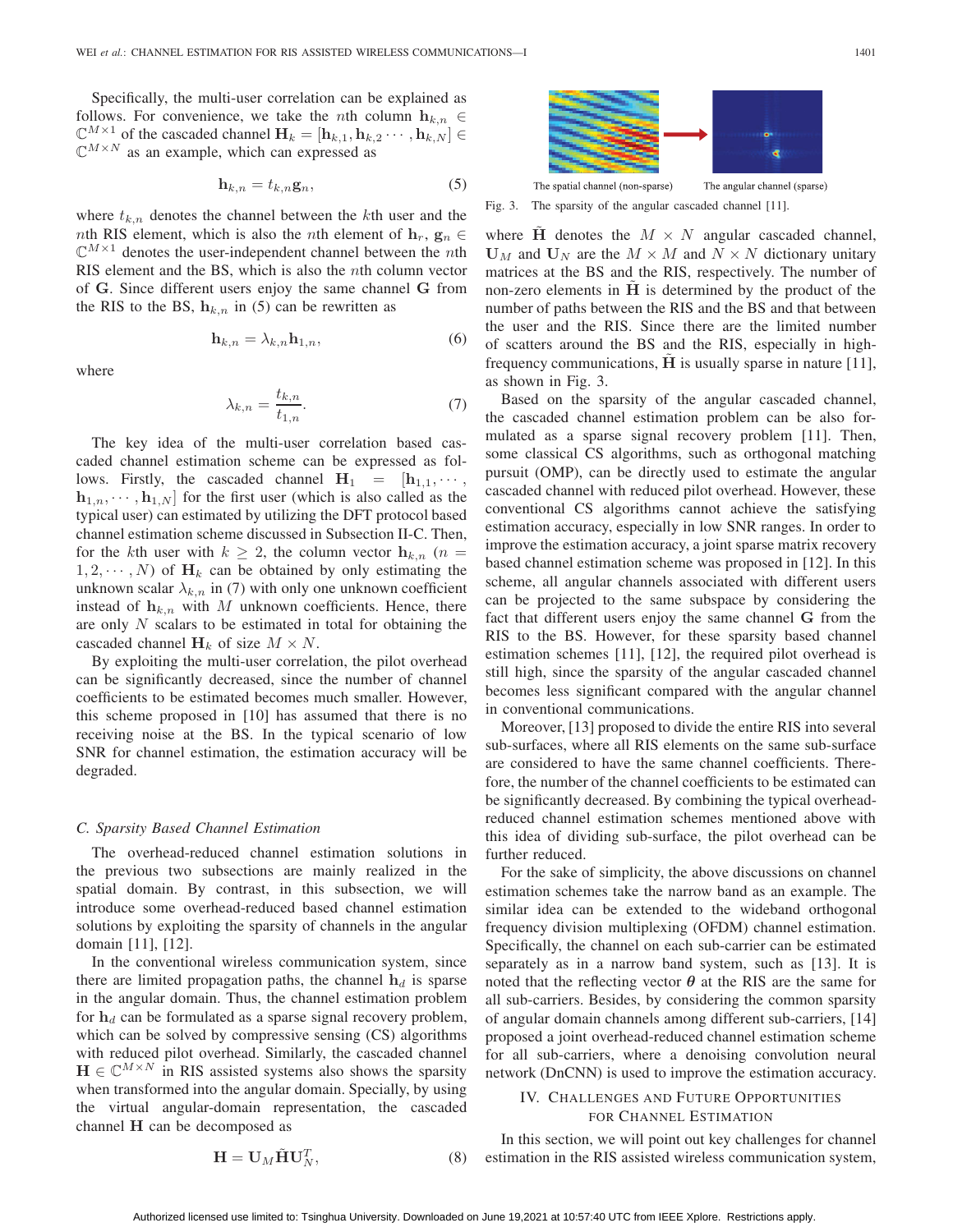Specifically, the multi-user correlation can be explained as follows. For convenience, we take the *n*th column  $\mathbf{h}_{k,n} \in$  $\mathbb{C}^{M \times 1}$  of the cascaded channel  $\mathbf{H}_k = [\mathbf{h}_{k,1}, \mathbf{h}_{k,2} \cdots, \mathbf{h}_{k,N}] \in$  $\mathbb{C}^{M\times N}$  as an example, which can expressed as

$$
\mathbf{h}_{k,n} = t_{k,n} \mathbf{g}_n,\tag{5}
$$

where  $t_{k,n}$  denotes the channel between the kth user and the nth RIS element, which is also the nth element of  $\mathbf{h}_r$ ,  $\mathbf{g}_n \in$  $\mathbb{C}^{M\times 1}$  denotes the user-independent channel between the *n*th RIS element and the BS, which is also the nth column vector of **G**. Since different users enjoy the same channel **G** from the RIS to the BS,  $h_{k,n}$  in (5) can be rewritten as

$$
\mathbf{h}_{k,n} = \lambda_{k,n} \mathbf{h}_{1,n},\tag{6}
$$

where

$$
\lambda_{k,n} = \frac{t_{k,n}}{t_{1,n}}.\tag{7}
$$

The key idea of the multi-user correlation based cascaded channel estimation scheme can be expressed as follows. Firstly, the cascaded channel  $H_1 = [h_{1,1}, \cdots, h_{n}]$  $\mathbf{h}_{1,n}, \dots, \mathbf{h}_{1,N}$  for the first user (which is also called as the typical user) can estimated by utilizing the DFT protocol based channel estimation scheme discussed in Subsection II-C. Then, for the kth user with  $k \geq 2$ , the column vector  $h_{k,n}$  ( $n =$  $1, 2, \dots, N$  of  $H_k$  can be obtained by only estimating the unknown scalar  $\lambda_{k,n}$  in (7) with only one unknown coefficient instead of  $h_{k,n}$  with M unknown coefficients. Hence, there are only  $N$  scalars to be estimated in total for obtaining the cascaded channel  $H_k$  of size  $M \times N$ .

By exploiting the multi-user correlation, the pilot overhead can be significantly decreased, since the number of channel coefficients to be estimated becomes much smaller. However, this scheme proposed in [10] has assumed that there is no receiving noise at the BS. In the typical scenario of low SNR for channel estimation, the estimation accuracy will be degraded.

#### *C. Sparsity Based Channel Estimation*

The overhead-reduced channel estimation solutions in the previous two subsections are mainly realized in the spatial domain. By contrast, in this subsection, we will introduce some overhead-reduced based channel estimation solutions by exploiting the sparsity of channels in the angular domain [11], [12].

In the conventional wireless communication system, since there are limited propagation paths, the channel  $\mathbf{h}_d$  is sparse in the angular domain. Thus, the channel estimation problem for  $h_d$  can be formulated as a sparse signal recovery problem, which can be solved by compressive sensing (CS) algorithms with reduced pilot overhead. Similarly, the cascaded channel  $\mathbf{H} \in \mathbb{C}^{M \times N}$  in RIS assisted systems also shows the sparsity when transformed into the angular domain. Specially, by using the virtual angular-domain representation, the cascaded channel **H** can be decomposed as



Fig. 3. The sparsity of the angular cascaded channel [11].

where  $\hat{H}$  denotes the  $M \times N$  angular cascaded channel,  $U_M$  and  $U_N$  are the  $M \times M$  and  $N \times N$  dictionary unitary matrices at the BS and the RIS, respectively. The number of non-zero elements in  $H$  is determined by the product of the number of paths between the RIS and the BS and that between the user and the RIS. Since there are the limited number of scatters around the BS and the RIS, especially in highfrequency communications,  $\hat{H}$  is usually sparse in nature [11], as shown in Fig. 3.

Based on the sparsity of the angular cascaded channel, the cascaded channel estimation problem can be also formulated as a sparse signal recovery problem [11]. Then, some classical CS algorithms, such as orthogonal matching pursuit (OMP), can be directly used to estimate the angular cascaded channel with reduced pilot overhead. However, these conventional CS algorithms cannot achieve the satisfying estimation accuracy, especially in low SNR ranges. In order to improve the estimation accuracy, a joint sparse matrix recovery based channel estimation scheme was proposed in [12]. In this scheme, all angular channels associated with different users can be projected to the same subspace by considering the fact that different users enjoy the same channel **G** from the RIS to the BS. However, for these sparsity based channel estimation schemes [11], [12], the required pilot overhead is still high, since the sparsity of the angular cascaded channel becomes less significant compared with the angular channel in conventional communications.

Moreover, [13] proposed to divide the entire RIS into several sub-surfaces, where all RIS elements on the same sub-surface are considered to have the same channel coefficients. Therefore, the number of the channel coefficients to be estimated can be significantly decreased. By combining the typical overheadreduced channel estimation schemes mentioned above with this idea of dividing sub-surface, the pilot overhead can be further reduced.

For the sake of simplicity, the above discussions on channel estimation schemes take the narrow band as an example. The similar idea can be extended to the wideband orthogonal frequency division multiplexing (OFDM) channel estimation. Specifically, the channel on each sub-carrier can be estimated separately as in a narrow band system, such as [13]. It is noted that the reflecting vector  $\theta$  at the RIS are the same for all sub-carriers. Besides, by considering the common sparsity of angular domain channels among different sub-carriers, [14] proposed a joint overhead-reduced channel estimation scheme for all sub-carriers, where a denoising convolution neural network (DnCNN) is used to improve the estimation accuracy.

## IV. CHALLENGES AND FUTURE OPPORTUNITIES FOR CHANNEL ESTIMATION

$$
\mathbf{H} = \mathbf{U}_M \tilde{\mathbf{H}} \mathbf{U}_N^T, \tag{8}
$$

In this section, we will point out key challenges for channel estimation in the RIS assisted wireless communication system,